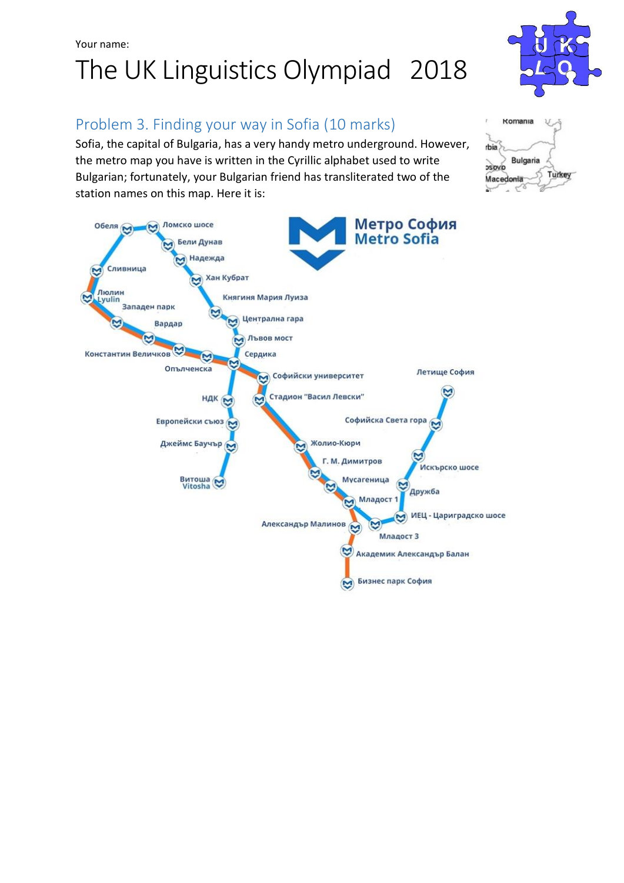## Your name: The UK Linguistics Olympiad 2018



### Problem 3. Finding your way in Sofia (10 marks)

Sofia, the capital of Bulgaria, has a very handy metro underground. However, the metro map you have is written in the Cyrillic alphabet used to write Bulgarian; fortunately, your Bulgarian friend has transliterated two of the station names on this map. Here it is:



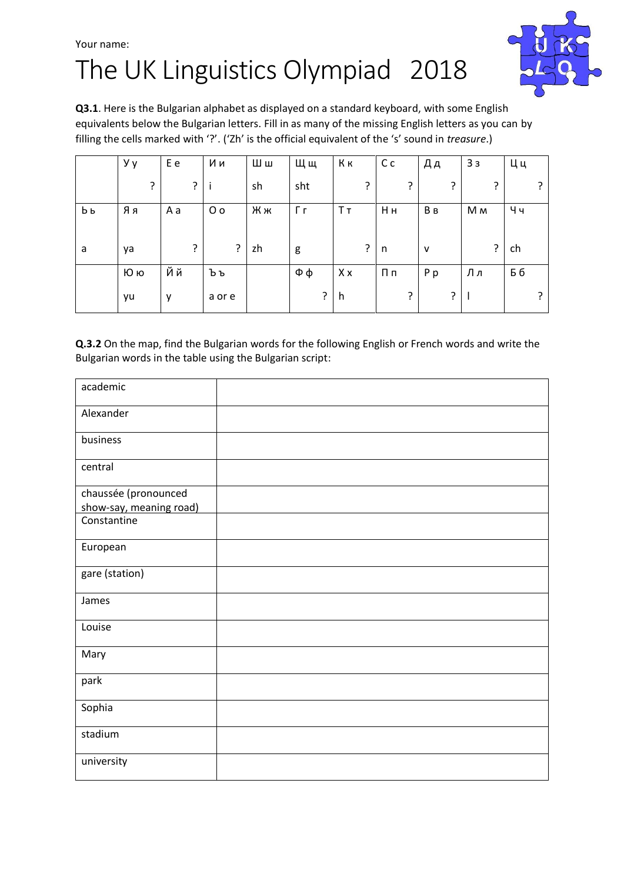## Your name: The UK Linguistics Olympiad 2018



**Q3.1**. Here is the Bulgarian alphabet as displayed on a standard keyboard, with some English equivalents below the Bulgarian letters. Fill in as many of the missing English letters as you can by filling the cells marked with '?'. ('Zh' is the official equivalent of the 's' sound in *treasure*.)

|    | Уy | E e | Ии             | Шш | Щщ     | Kк | C <sub>c</sub> | Дд           | 33  | Цц |
|----|----|-----|----------------|----|--------|----|----------------|--------------|-----|----|
|    | ?  | ?   | $\mathbf{I}$   | sh | sht    | ?  | ?              | ?            | ς   | ?  |
| Ьь | Яя | A a | 0 <sub>o</sub> | Жж | Гг     | Tт | Hн             | B B          | M M | Чч |
|    |    |     |                |    |        |    |                |              |     |    |
| a  | ya | 7   | ?              | zh | g      | 5. | $\mathsf{n}$   | $\mathsf{v}$ | ?   | ch |
|    | Юю | Йй  | Ъъ             |    | $\Phi$ | Xx | $\Pi$ п        | Pp           | Лл  | Бб |
|    | yu | y   | a or e         |    | ?      | h, | ?              | ?            |     | ?  |

**Q.3.2** On the map, find the Bulgarian words for the following English or French words and write the Bulgarian words in the table using the Bulgarian script:

| academic                |  |
|-------------------------|--|
| Alexander               |  |
| business                |  |
| central                 |  |
| chaussée (pronounced    |  |
| show-say, meaning road) |  |
| Constantine             |  |
| European                |  |
| gare (station)          |  |
| James                   |  |
| Louise                  |  |
| Mary                    |  |
| park                    |  |
| Sophia                  |  |
| stadium                 |  |
| university              |  |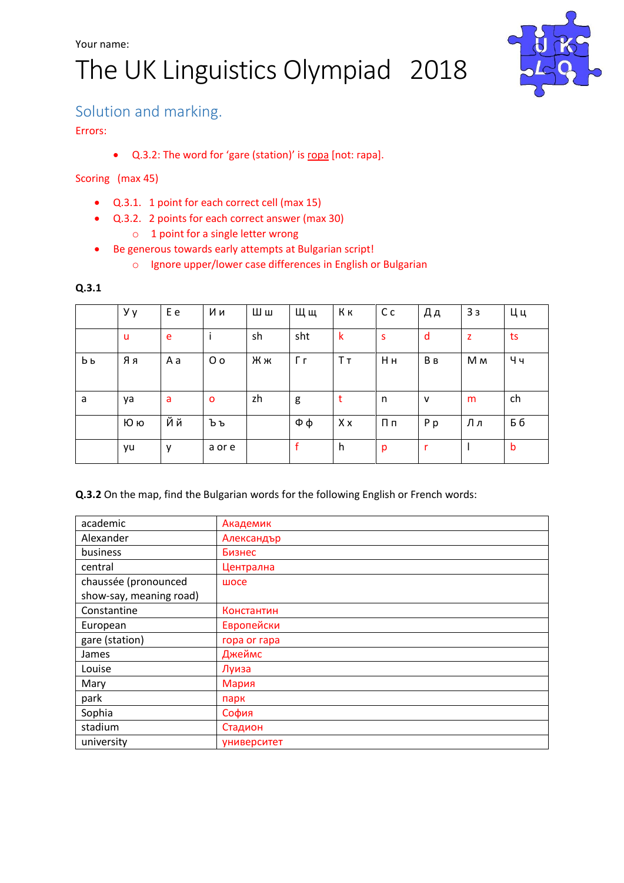# The UK Linguistics Olympiad 2018



### Solution and marking.

Errors:

Q.3.2: The word for 'gare (station)' is гoра [not: гaра].

#### Scoring (max 45)

- Q.3.1. 1 point for each correct cell (max 15)
- Q.3.2. 2 points for each correct answer (max 30)
	- o 1 point for a single letter wrong
- Be generous towards early attempts at Bulgarian script!
	- o Ignore upper/lower case differences in English or Bulgarian

#### **Q.3.1**

|    | Уy | E e | Ии             | Шш | Щщ  | Кк  | C <sub>c</sub> | Дд           | 33             | Цц  |
|----|----|-----|----------------|----|-----|-----|----------------|--------------|----------------|-----|
|    | u  | e   |                | sh | sht | k   | S              | d            | z              | ts  |
| Ьь | Яя | A a | 0 <sub>0</sub> | Жж | Гг  | Tт  | Hн             | Bв           | M <sub>M</sub> | Чч  |
| a  | ya | a   | $\circ$        | zh | g   | t   | n              | $\mathsf{v}$ | m              | ch  |
|    | Юю | Йй  | Ъъ             |    | Фφ  | X x | $\Pi \Pi$      | P p          | Лл             | Б б |
|    | yu | y   | a or e         |    | f   | h   | p              | r            |                | b   |

**Q.3.2** On the map, find the Bulgarian words for the following English or French words:

| academic                | Академик     |
|-------------------------|--------------|
| Alexander               | Александър   |
| business                | Бизнес       |
| central                 | Централна    |
| chaussée (pronounced    | шосе         |
| show-say, meaning road) |              |
| Constantine             | Константин   |
| European                | Европейски   |
| gare (station)          | ropa or rapa |
| James                   | Джеймс       |
| Louise                  | Луиза        |
| Mary                    | Мария        |
| park                    | парк         |
| Sophia                  | София        |
| stadium                 | Стадион      |
| university              | университет  |